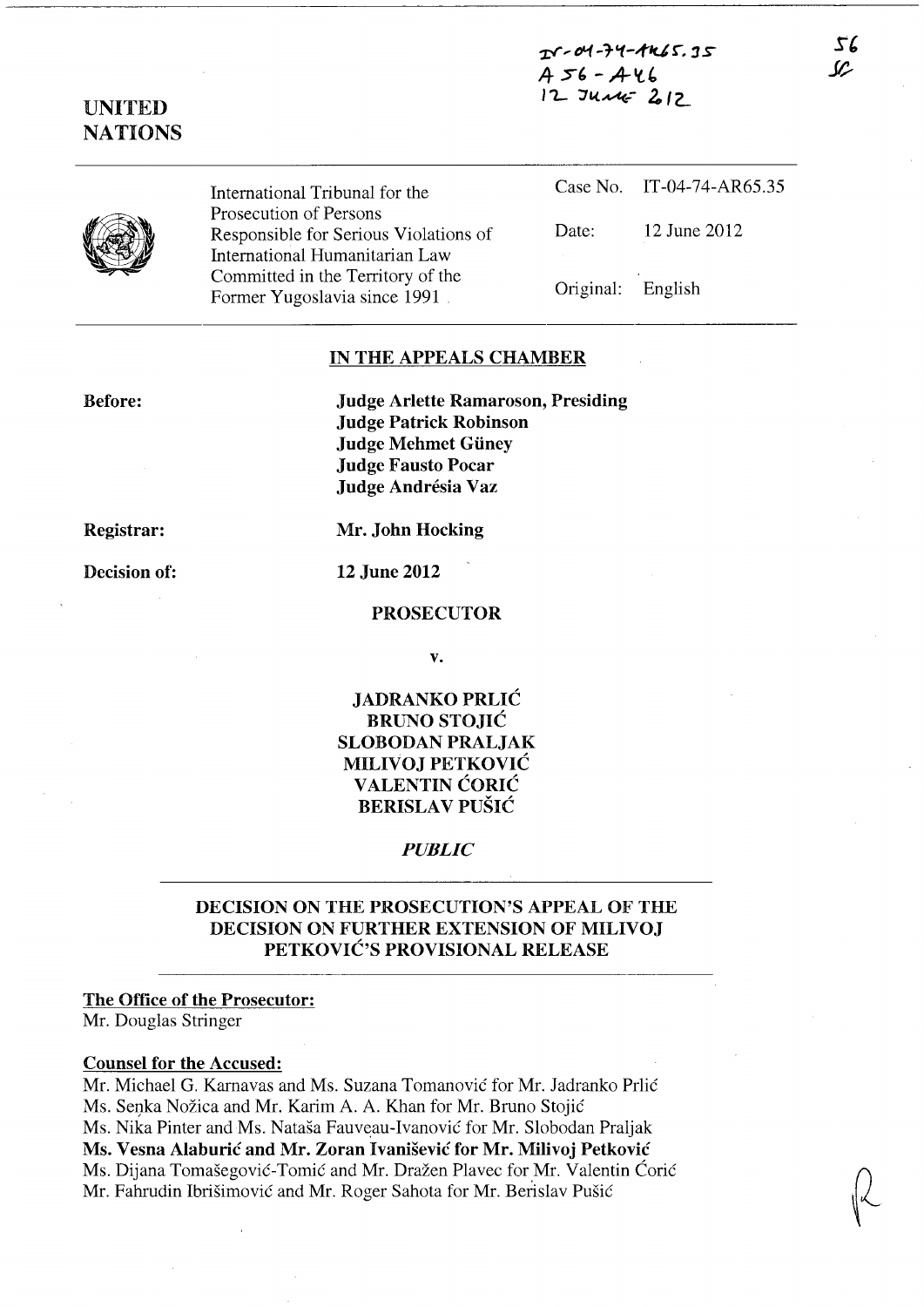**xV" D'1-'t'1-;f1U r. :1** *s*  **-45' -** *A-'l'*   $12$  June 212

# **UNITED NATIONS**



International Tribunal for the Prosecution of Persons Responsible for Serious Violations of International Humanitarian Law Committed in the Territory of the Former Yugoslavia since 1991 .

|                   | Case No. IT-04-74-AR65.35 |
|-------------------|---------------------------|
| Date:             | 12 June 2012              |
| Original: English |                           |

### **IN THE APPEALS CHAMBER**

**Before:** 

**Judge Arlette Ramaroson, Presiding Judge Patrick Robinson Judge Mehmet Giiney Judge Fausto Pocar Judge Andresia Vaz** 

**Registrar:** 

**Decision of:** 

**Mr. John Hocking** 

**12 June 2012** 

### **PROSECUTOR**

**v.** 

**JADRANKO PRLIC BRUNO STOJIC SLOBODAN PRALJAK MILIVOJ PETKOVIC V ALENTIN CORIC BERISLA V PUSIC** 

*PUBLIC* 

# **DECISION ON THE PROSECUTION'S APPEAL OF THE DECISION ON FURTHER EXTENSION OF MILIVOJ PETKOVIC'S PROVISIONAL RELEASE**

## **The Office of the Prosecutor:**

Mr. Douglas Stringer

#### **Counsel for the Accused:**

Mr. Michael G. Karnavas and Ms. Suzana Tomanović for Mr. Jadranko Prlić Ms. Senka Nožica and Mr. Karim A. A. Khan for Mr. Bruno Stojić Ms. Nika Pinter and Ms. Natasa Fauveau-Ivanovie for Mr. Slobodan Praljak **Ms. Vesna Alaburic and Mr. Zoran Ivanisevic for Mr. Milivoj Petkovic**  Ms. Dijana Tomašegović-Tomić and Mr. Dražen Plavec for Mr. Valentin Ćorić Mr. Fahrudin Ibrišimović and Mr. Roger Sahota for Mr. Berislav Pušić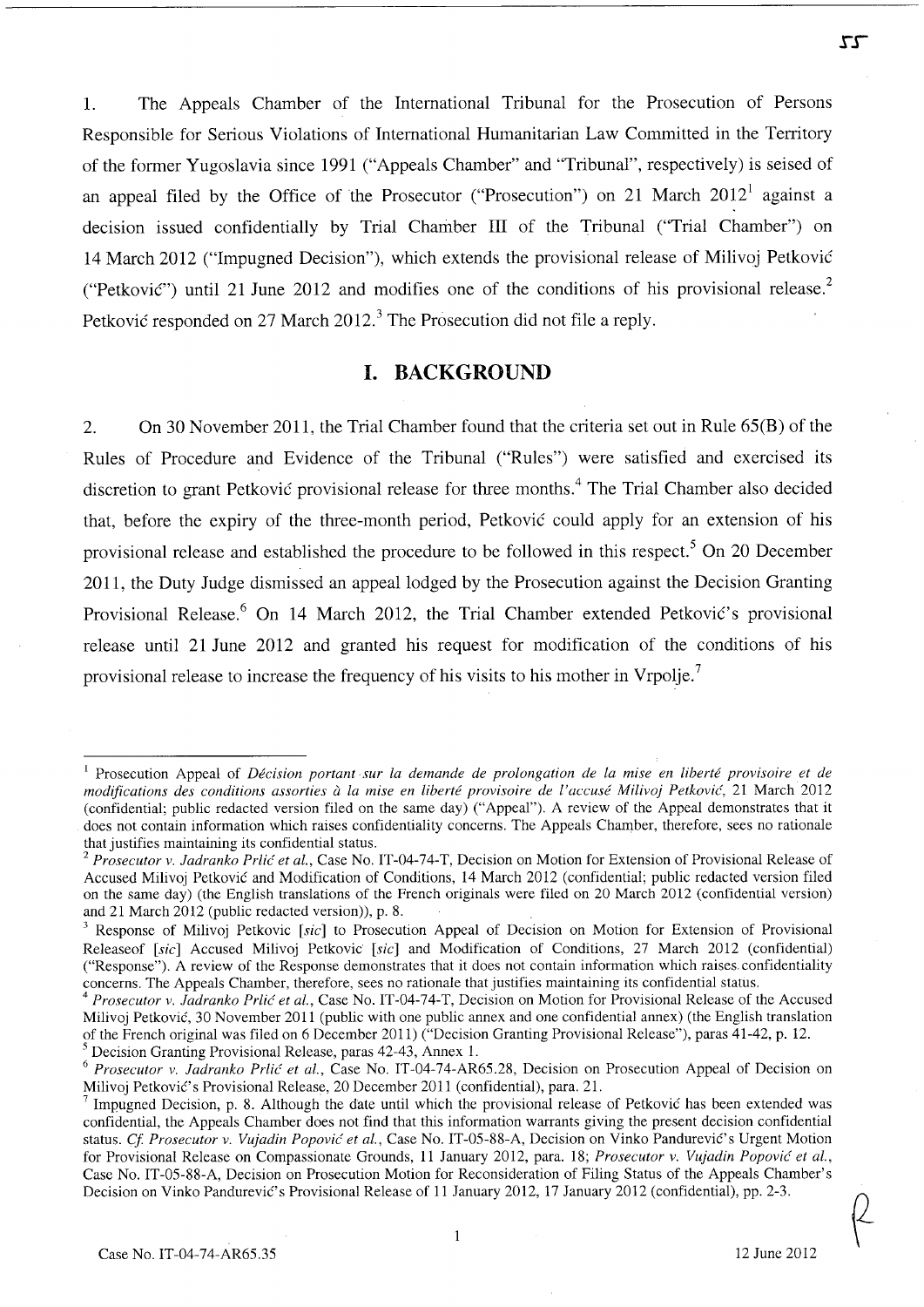1. The Appeals Chamber of the International Tribunal for the Prosecution of Persons Responsible for Serious Violations of International Humanitarian Law Committed in the Territory of the former Yugoslavia since 1991 ("Appeals Chamber" and "Tribunal", respectively) is seised of an appeal filed by the Office of the Prosecutor ("Prosecution") on 21 March 2012<sup>1</sup> against a decision issued confidentially by Trial Chamber **III** of the Tribunal ("Trial Chamber") on 14 March 2012 ("Impugned Decision"), which extends the provisional release of Milivoj Petkovic ("Petkovic") until 21 June 2012 and modifies one of the conditions of his provisional release.<sup>2</sup> Petković responded on 27 March 2012.<sup>3</sup> The Prosecution did not file a reply.

## **I. BACKGROUND**

2. On 30 November 2011, the Trial Chamber found that the criteria set out in Rule 65(B) of the Rules of Procedure and Evidence of the Tribunal ("Rules") were satisfied and exercised its discretion to grant Petković provisional release for three months.<sup>4</sup> The Trial Chamber also decided that, before the expiry of the three-month period, Petkovic could apply for an extension of his provisional release and established the procedure to be followed in this respect.<sup>5</sup> On 20 December 2011, the Duty Judge dismissed an appeal lodged by the Prosecution against the Decision Granting Provisional Release.<sup>6</sup> On 14 March 2012, the Trial Chamber extended Petković's provisional release until 21 June 2012 and granted his request for modification of the conditions of his provisional release to increase the frequency of his visits to his mother in  $V_{\text{rpolie}}$ .

<sup>&</sup>lt;sup>1</sup> Prosecution Appeal of *Décision portant sur la demande de prolongation de la mise en liberté provisoire et de modifications des conditions assorties à la mise en liberté provisoire de l'accusé Milivoj Petković*, 21 March 2012 (confidential; public redacted version filed on the same day) ("Appeal"). A review of the Appeal demonstrates that it does not contain information which raises confidentiality concerns. The Appeals Chamber, therefore, sees no rationale that justifies maintaining its confidential status.

<sup>&</sup>lt;sup>2</sup> Prosecutor v. Jadranko Prlić et al., Case No. IT-04-74-T, Decision on Motion for Extension of Provisional Release of Accused Milivoj Petkovic and Modification of Conditions, 14 March 2012 (confidential; public redacted version filed on the same day) (the English translations of the French originals were filed on 20 March 2012 (confidential version) and 21 March 2012 (public redacted version)), p. 8.

<sup>3</sup> Response of Milivoj Petkovic *[sic]* to Prosecution Appeal of Decision on Motion for Extension of Provisional Releaseof *[sic]* Accused Milivoj Petkovic *[sic]* and Modification of Conditions, 27 March 2012 (confidential) ("Response"). A review of the Response demonstrates that it does not contain information which raises- confidentiality concerns. The Appeals Chamber, therefore, sees no rationale that justifies maintaining its confidential status.

<sup>&</sup>lt;sup>4</sup> Prosecutor v. *Jadranko Prlić et al.*, Case No. IT-04-74-T, Decision on Motion for Provisional Release of the Accused Milivoj Petkovic, 30 November 2011 (public with one public annex and one confidential annex) (the English translation of the French original was filed on 6 December 2011) ("Decision Granting Provisional Release"), paras 41-42, p. 12.  $<sup>5</sup>$  Decision Granting Provisional Release, paras 42-43, Annex 1.</sup>

*<sup>6</sup> Prosecutor v. ladranko Prlic et al.,* Case No. IT-04-74-AR6S.28, Decision on Prosecution Appeal of Decision on Milivoj Petković's Provisional Release, 20 December 2011 (confidential), para. 21.

 $<sup>7</sup>$  Impugned Decision, p. 8. Although the date until which the provisional release of Petković has been extended was</sup> confidential, the Appeals Chamber does not find that this information warrants giving the present decision confidential status. Cf. Prosecutor v. Vujadin Popović et al., Case No. IT-05-88-A, Decision on Vinko Pandurević's Urgent Motion for Provisional Release on Compassionate Grounds, II January 2012, para. 18; *Prosecutor v. Vujadin Popovic et aI.,*  Case No. IT-OS-88-A, Decision on Prosecution Motion for Reconsideration of Filing Status of the Appeals Chamber's Decision on Vinko Pandurević's Provisional Release of 11 January 2012, 17 January 2012 (confidential), pp. 2-3.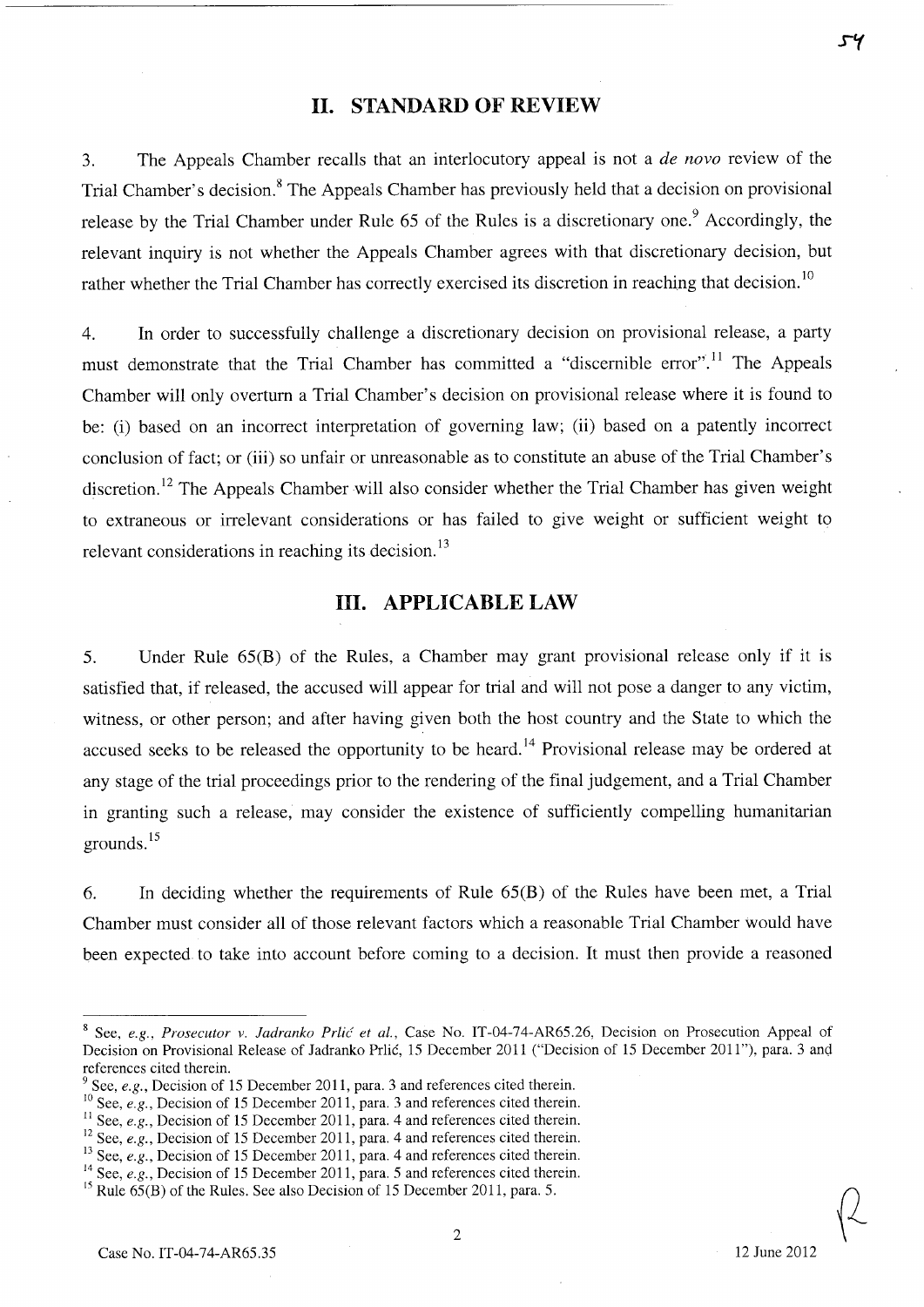# **II. STANDARD OF REVIEW**

3. The Appeals Chamber recalls that an interlocutory appeal is not a *de novo* review of the Trial Chamber's decision.<sup>8</sup> The Appeals Chamber has previously held that a decision on provisional release by the Trial Chamber under Rule 65 of the Rules is a discretionary one.<sup>9</sup> Accordingly, the relevant inquiry is not whether the Appeals Chamber agrees with that discretionary decision, but rather whether the Trial Chamber has correctly exercised its discretion in reaching that decision.<sup>10</sup>

4. In order to successfully challenge a discretionary decision on provisional release, a party must demonstrate that the Trial Chamber has committed a "discernible error".<sup>11</sup> The Appeals Chamber will only overturn a Trial Chamber's decision on provisional release where it is found to be: (i) based on an incorrect interpretation of governing law; (ii) based on a patently incorrect conclusion of fact; or (iii) so unfair or unreasonable as to constitute an abuse of the Trial Chamber's discretion.<sup>12</sup> The Appeals Chamber will also consider whether the Trial Chamber has given weight to extraneous or irrelevant considerations or has failed to give weight or sufficient weight to relevant considerations in reaching its decision. $^{13}$ 

# **III. APPLICABLE LAW**

5. Under Rule 65(B) of the Rules, a Chamber may grant provisional release only if it is satisfied that, if released, the accused will appear for trial and will not pose a danger to any victim, witness, or other person; and after having given both the host country and the State to which the accused seeks to be released the opportunity to be heard.<sup>14</sup> Provisional release may be ordered at any stage of the trial proceedings prior to the rendering of the final judgement, and a Trial Chamber in granting such a release, may consider the existence of sufficiently compelling humanitarian grounds.<sup>15</sup>

6. In deciding whether the requirements of Rule 65(B) of the Rules have been met, a Trial Chamber must consider all of those relevant factors which a reasonable Trial Chamber would have been expected to take into account before coming to a decision. It must then provide a reasoned

**s'(** 

<sup>&</sup>lt;sup>8</sup> See, *e.g., Prosecutor v. Jadranko Prlić et al.*, Case No. IT-04-74-AR65.26, Decision on Prosecution Appeal of Decision on Provisional Release of Jadranko Prlić, 15 December 2011 ("Decision of 15 December 2011"), para. 3 and references cited therein.

 $9^9$  See, *e.g.*, Decision of 15 December 2011, para. 3 and references cited therein.

<sup>&</sup>lt;sup>10</sup> See, *e.g.*, Decision of 15 December 2011, para. 3 and references cited therein.

<sup>&</sup>lt;sup>11</sup> See, *e.g.*, Decision of 15 December 2011, para. 4 and references cited therein.

<sup>&</sup>lt;sup>12</sup> See, *e.g.*, Decision of 15 December 2011, para. 4 and references cited therein.

<sup>&</sup>lt;sup>13</sup> See, *e.g.*, Decision of 15 December 2011, para. 4 and references cited therein.

<sup>&</sup>lt;sup>14</sup> See, *e.g.*, Decision of 15 December 2011, para. 5 and references cited therein.

<sup>&</sup>lt;sup>15</sup> Rule  $65(B)$  of the Rules. See also Decision of 15 December 2011, para. 5.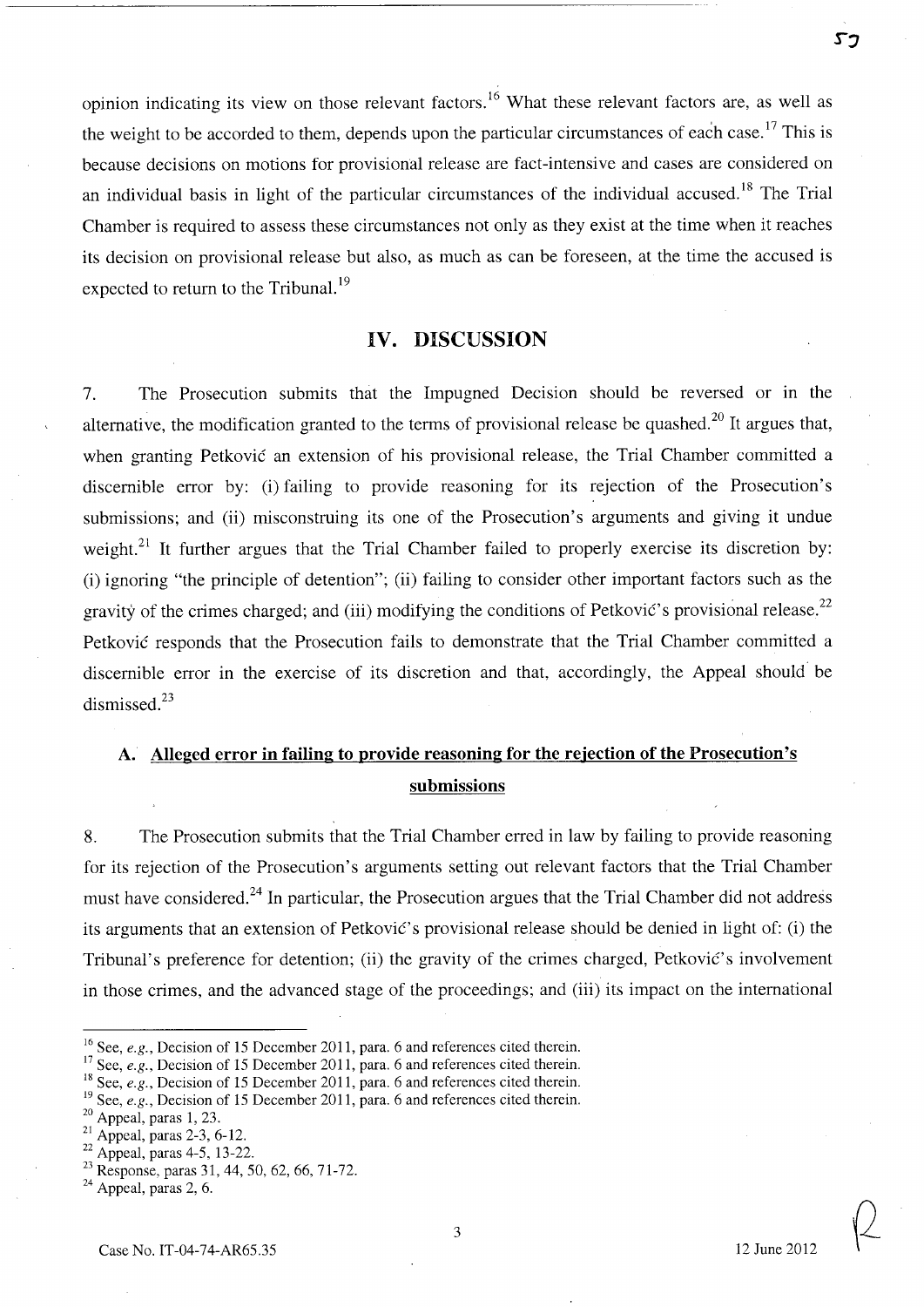opinion indicating its view on those relevant factors. 16 What these relevant factors are, as well as the weight to be accorded to them, depends upon the particular circumstances of each case.<sup>17</sup> This is because decisions on motions for provisional release are fact-intensive and cases are considered on an individual basis in light of the particular circumstances of the individual accused.<sup>18</sup> The Trial Chamber is required to assess these circumstances not only as they exist at the time when it reaches its decision on provisional release but also, as much as can be foreseen, at the time the accused is expected to return to the Tribunal.<sup>19</sup>

#### **IV. DISCUSSION**

7. The Prosecution submits that the Impugned Decision should be reversed or in the alternative, the modification granted to the terms of provisional release be quashed.<sup>20</sup> It argues that, when granting Petkovic an extension of his provisional release, the Trial Chamber committed a discernible error by: (i) failing to provide reasoning for its rejection of the Prosecution's submissions; and (ii) misconstruing its one of the Prosecution's arguments and giving it undue weight.<sup>21</sup> It further argues that the Trial Chamber failed to properly exercise its discretion by: (i) ignoring "the principle of detention"; (ii) failing to consider other important factors such as the gravity of the crimes charged; and (iii) modifying the conditions of Petković's provisional release.<sup>22</sup> Petkovic responds that the Prosecution fails to demonstrate that the Trial Chamber committed a discernible error in the exercise of its discretion and that, accordingly, the Appeal should be dismissed.<sup>23</sup>

# **A. Alleged error in failing to provide reasoning for the rejection of the Prosecution's submissions**

8. The Prosecution submits that the Trial Chamber erred in law by failing to provide reasoning for its rejection of the Prosecution's arguments setting out relevant factors that the Trial Chamber must have considered.<sup>24</sup> In particular, the Prosecution argues that the Trial Chamber did not address its arguments that an extension of Petković's provisional release should be denied in light of: (i) the Tribunal's preference for detention; (ii) the gravity of the crimes charged, Petković's involvement in those crimes, and the advanced stage of the proceedings; and (iii) its impact on the international

53

<sup>16</sup> See, *e.g.,* Decision of 15 December 2011, para. 6 and references cited therein.

<sup>17</sup> See, *e.g.,* Decision of 15 December 2011, para. 6 and references cited therein.

<sup>&</sup>lt;sup>18</sup> See, *e.g.*, Decision of 15 December 2011, para. 6 and references cited therein.

<sup>&</sup>lt;sup>19</sup> See, *e.g.*, Decision of 15 December 2011, para. 6 and references cited therein.

<sup>&</sup>lt;sup>20</sup> Appeal, paras 1, 23.

<sup>21</sup> Appeal, paras 2-3, 6-12.

<sup>22</sup> Appeal, paras 4-5, 13-22.

<sup>&</sup>lt;sup>23</sup> Response, paras 31, 44, 50, 62, 66, 71-72.

 $24$  Appeal, paras 2, 6.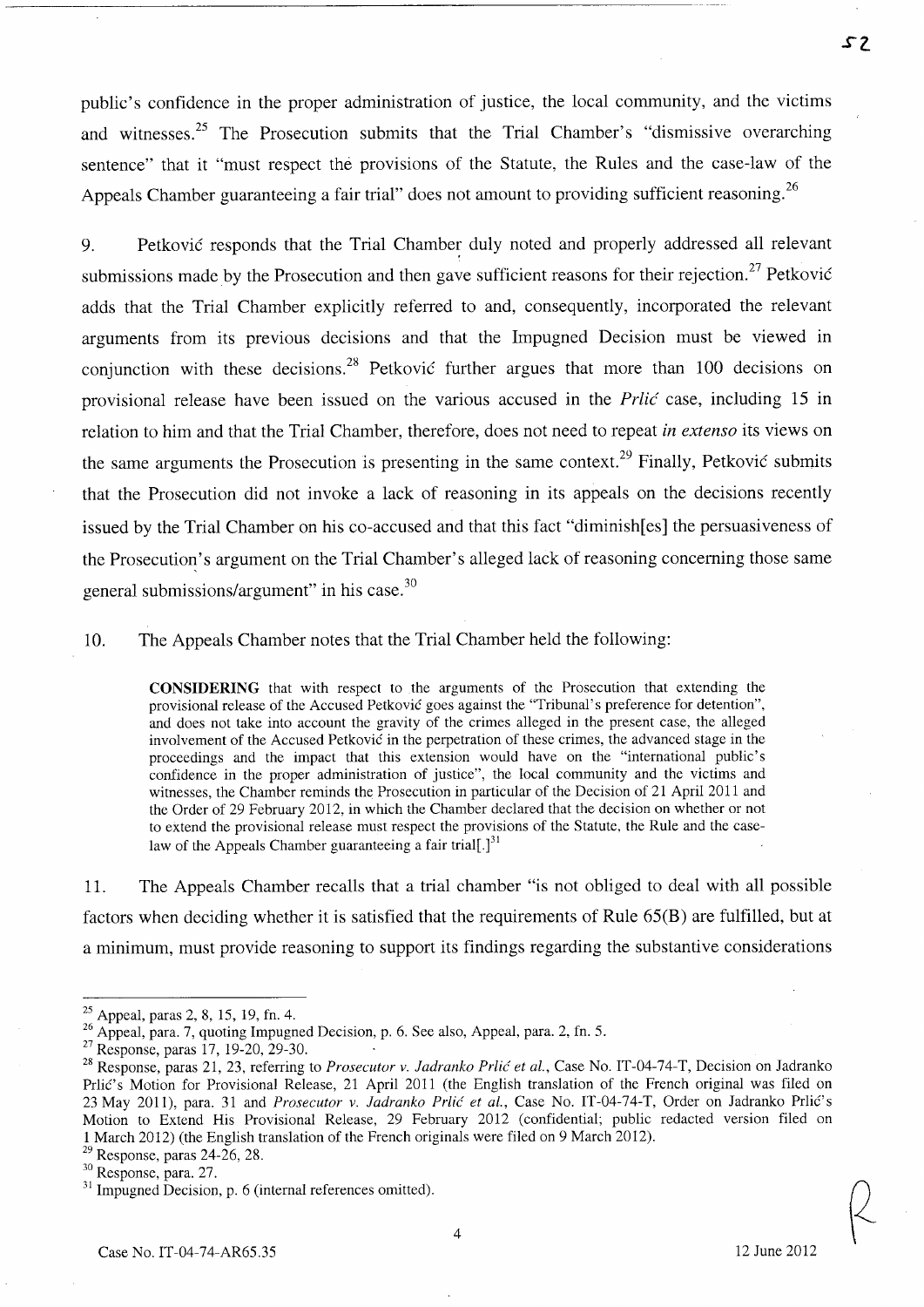public's confidence in the proper administration of justice, the local community, and the victims and witnesses.<sup>25</sup> The Prosecution submits that the Trial Chamber's "dismissive overarching sentence" that it "must respect the provisions of the Statute, the Rules and the case-law of the Appeals Chamber guaranteeing a fair trial" does not amount to providing sufficient reasoning.<sup>26</sup>

9. Petković responds that the Trial Chamber duly noted and properly addressed all relevant submissions made by the Prosecution and then gave sufficient reasons for their rejection.<sup>27</sup> Petković adds that the Trial Chamber explicitly referred to and, consequently, incorporated the relevant arguments from its previous decisions and that the Impugned Decision must be viewed in conjunction with these decisions.<sup>28</sup> Petković further argues that more than 100 decisions on provisional release have been issued on the various accused in the Prlic case, including 15 in relation to him and that the Trial Chamber, therefore, does not need to repeat *in extenso* its views on the same arguments the Prosecution is presenting in the same context.<sup>29</sup> Finally, Petković submits that the Prosecution did not invoke a lack of reasoning in its appeals on the decisions recently issued by the Trial Chamber on his co-accused and that this fact "diminish[es] the persuasiveness of the Prosecution's argument on the Trial Chamber's alleged lack of reasoning concerning those same general submissions/argument" in his case.<sup>30</sup>

10. The Appeals Chamber notes that the Trial Chamber held the following:

**CONSIDERING** that with respect to the arguments of the Prosecution that extending the provisional release of the Accused Petković goes against the "Tribunal's preference for detention", and does not take into account the gravity of the crimes alleged in the present case, the alleged involvement of the Accused Petkovic in the perpetration of these crimes, the advanced stage in the proceedings and the impact that this extension would have on the "international public's confidence in the proper administration of justice", the local community and the victims and witnesses, the Chamber reminds the Prosecution in particular of the Decision of 21 April 2011 and the Order of 29 February 2012, in which the Chamber declared that the decision on whether or not to extend the provisional release must respect the provisions of the Statute, the Rule and the caselaw of the Appeals Chamber guaranteeing a fair trial[.] $^{31}$ 

11. The Appeals Chamber recalls that a trial chamber "is not obliged to deal with all possible factors when deciding whether it is satisfied that the requirements of Rule 65(B) are fulfilled, but at a minimum, must provide reasoning to support its findings regarding the substantive considerations

 $25$  Appeal, paras 2, 8, 15, 19, fn. 4.

<sup>26</sup> Appeal, para. 7, quoting Impugned Decision, p. 6. See also, Appeal, para. 2, fn. 5.

<sup>&</sup>lt;sup>27</sup> Response, paras 17, 19-20, 29-30.

<sup>28</sup> Response, paras 21, 23, referring to *Prosecutor v. ladranko Prlic et al.,* Case No. IT-04-74-T, Decision on Jadranko Prlic's Motion for Provisional Release, 21 April 2011 (the English translation of the French original was filed on 23 May 2011), para. 31 and *Prosecutor v. Jadranko Prlić et al.*, Case No. IT-04-74-T, Order on Jadranko Prlić's Motion to Extend His Provisional Release, 29 February 2012 (confidential; public redacted version filed on 1 March 2012) (the English translation of the French originals were filed on 9 March 2012).

 $29$  Response, paras 24-26, 28.

<sup>30</sup> Response, para. 27.

<sup>&</sup>lt;sup>31</sup> Impugned Decision, p. 6 (internal references omitted).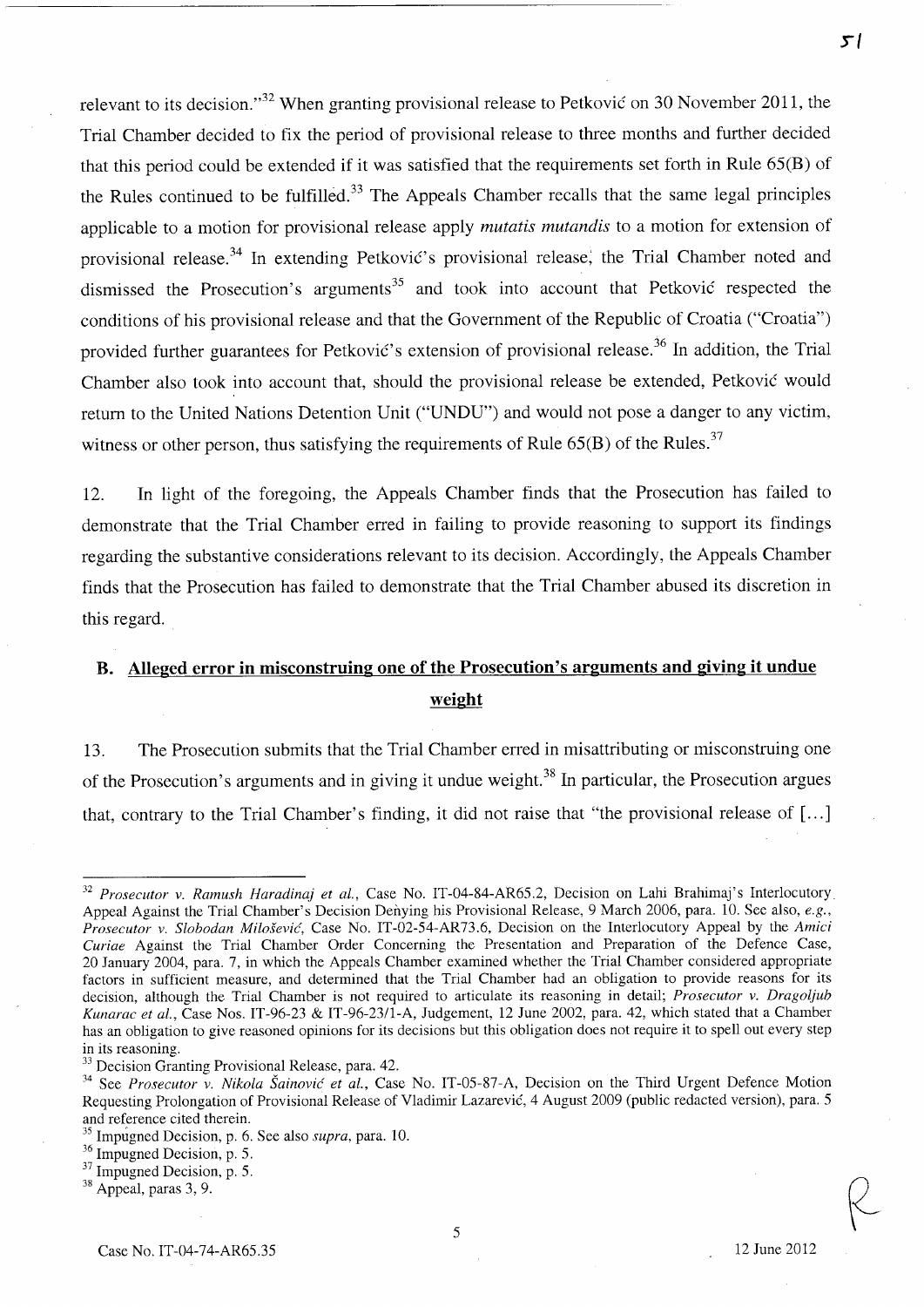relevant to its decision.<sup>32</sup> When granting provisional release to Petkovic on 30 November 2011, the Trial Chamber decided to fix the period of provisional release to three months and further decided that this period could be extended if it was satisfied that the requirements set forth in Rule 65(B) of the Rules continued to be fulfilled.<sup>33</sup> The Appeals Chamber recalls that the same legal principles applicable to a motion for provisional release apply *mutatis mutandis* to a motion for extension of provisional release.<sup>34</sup> In extending Petković's provisional release, the Trial Chamber noted and dismissed the Prosecution's arguments<sup>35</sup> and took into account that Petkovic respected the conditions of his provisional release and that the Government of the Republic of Croatia ("Croatia") provided further guarantees for Petković's extension of provisional release.<sup>36</sup> In addition, the Trial Chamber also took into account that, should the provisional release be extended, Petkovic would return to the United Nations Detention Unit ("UNDU") and would not pose a danger to any victim, witness or other person, thus satisfying the requirements of Rule  $65(B)$  of the Rules.<sup>37</sup>

12. In light of the foregoing, the Appeals Chamber finds that the Prosecution has failed to demonstrate that the Trial Chamber erred in failing to provide reasoning to support its findings regarding the substantive considerations relevant to its decision. Accordingly, the Appeals Chamber finds that the Prosecution has failed to demonstrate that the Trial Chamber abused its discretion in this regard.

# **B. Alleged error in misconstruing one of the Prosecution's arguments and giving it undue weight**

13. The Prosecution submits that the Trial Chamber erred in misattributing or misconstruing one of the Prosecution's arguments and in giving it undue weight.<sup>38</sup> In particular, the Prosecution argues that, contrary to the Trial Chamber's finding, it did not raise that "the provisional release of [ ... ]

**si** 

*<sup>32</sup> Prosecutor* v. *Ramush Haradinaj et aI.,* Case No. IT-04-84-AR65.2, Decision on Lahi Brahimaj's Interlocutory Appeal Against the Trial Chamber's Decision Denying his Provisional Release, 9 March 2006, para. 10. See also, *e.g., Prosecutor* v. *Slobodan Milosevic,* Case No. IT-02-54-AR73.6, Decision on the Interlocutory Appeal by the *Amici Curiae* Against the Trial Chamber Order Concerning the Presentation and Preparation of the Defence Case, 20 January 2004, para. 7, in which the Appeals Chamber examined whether the Trial Chamber considered appropriate factors in sufficient measure, and determined that the Trial Chamber had an obligation to provide reasons for its decision, although the Trial Chamber is not required to articulate its reasoning in detail; *Prosecutor* v. *Dragoljub Kunarac et aI.,* Case Nos. IT-96-23 & IT-96-23/l-A, Judgement, 12 June 2002, para. 42, which stated that a Chamber has an obligation to give reasoned opinions for its decisions but this obligation does not require it to spell out every step in its reasoning.

<sup>&</sup>lt;sup>33</sup> Decision Granting Provisional Release, para. 42.

<sup>&</sup>lt;sup>34</sup> See *Prosecutor v. Nikola Šainović et al.*, Case No. IT-05-87-A, Decision on the Third Urgent Defence Motion Requesting Prolongation of Provisional Release of Vladimir Lazarevic, 4 August 2009 (public redacted version), para. 5 and reference cited therein.

<sup>35</sup> Impugned Decision, p. 6. See also *supra,* para. 10.

<sup>36</sup> Impugned Decision, p. 5.

<sup>&</sup>lt;sup>37</sup> Impugned Decision, p. 5.

<sup>38</sup> Appeal, paras 3, 9.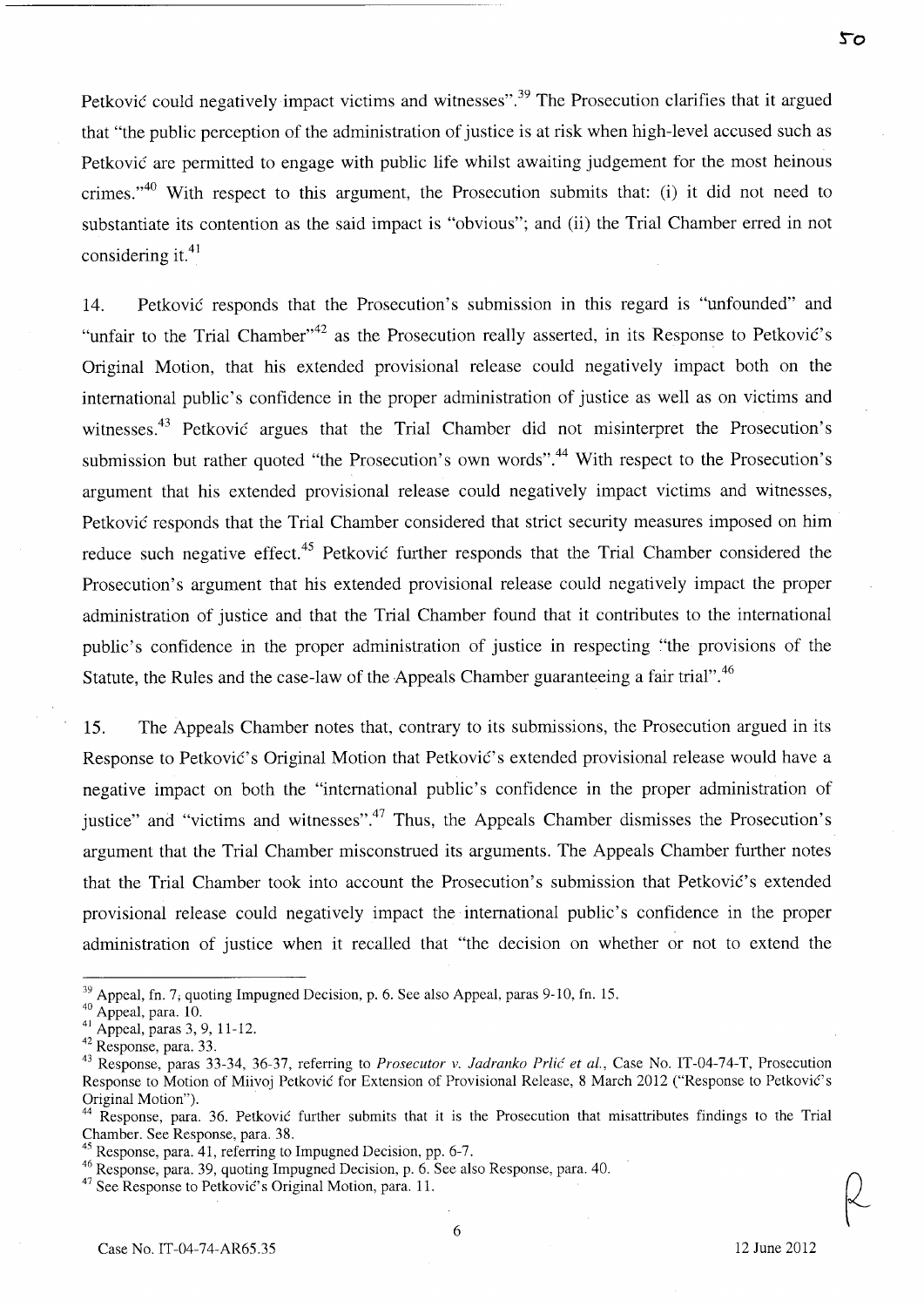Petković could negatively impact victims and witnesses".<sup>39</sup> The Prosecution clarifies that it argued that "the public perception of the administration of justice is at risk when high-level accused such as Petkovic are permitted to engage with public life whilst awaiting judgement for the most heinous crimes."<sup>40</sup> With respect to this argument, the Prosecution submits that: (i) it did not need to substantiate its contention as the said impact is "obvious"; and (ii) the Trial Chamber erred in not considering it. $41$ 

14. Petkovic responds that the Prosecution's submission in this regard is "unfounded" and "unfair to the Trial Chamber"<sup>42</sup> as the Prosecution really asserted, in its Response to Petković's Original Motion, that his extended provisional release could negatively impact both on the international public's confidence in the proper administration of justice as well as on victims and witnesses.<sup>43</sup> Petković argues that the Trial Chamber did not misinterpret the Prosecution's submission but rather quoted "the Prosecution's own words".<sup>44</sup> With respect to the Prosecution's argument that his extended provisional release could negatively impact victims and witnesses, Petkovic responds that the Trial Chamber considered that strict security measures imposed on him reduce such negative effect.<sup>45</sup> Petković further responds that the Trial Chamber considered the Prosecution's argument that his extended provisional release could negatively impact the proper administration of justice and that the Trial Chamber found that it contributes to the international public's confidence in the proper administration of justice in respecting "the provisions of the Statute, the Rules and the case-law of the Appeals Chamber guaranteeing a fair trial".46

15. The Appeals Chamber notes that, contrary to its submissions, the Prosecution argued in its Response to Petković's Original Motion that Petković's extended provisional release would have a negative impact on both the "international public's confidence in the proper administration of justice" and "victims and witnesses".<sup>47</sup> Thus, the Appeals Chamber dismisses the Prosecution's argument that the Trial Chamber misconstrued its arguments. The Appeals Chamber further notes that the Trial Chamber took into account the Prosecution's submission that Petković's extended provisional release could negatively impact the international public's confidence in the proper administration of justice when it recalled that "the decision on whether or not to extend the

50

<sup>&</sup>lt;sup>39</sup> Appeal, fn. 7; quoting Impugned Decision, p. 6. See also Appeal, paras 9-10, fn. 15.

 $40$  Appeal, para. 10.

<sup>41</sup>Appeal, paras 3, 9, 11-12.

<sup>42</sup> Response, para. 33.

<sup>43</sup> Response, paras 33-34, 36-37, referring to *Prosecutor* v. *ladranko Prlic et aI.,* Case No. IT-04-74-T, Prosecution Response to Motion of Miivoj Petković for Extension of Provisional Release, 8 March 2012 ("Response to Petković's Original Motion").

<sup>&</sup>lt;sup>44</sup> Response, para. 36. Petković further submits that it is the Prosecution that misattributes findings to the Trial Chamber. See Response, para. 38.

 $45$  Response, para. 41, referring to Impugned Decision, pp. 6-7.

<sup>46</sup> Response, para. 39, quoting Impugned Decision, p. 6. See also Response, para. 40.

 $^{47}$  See Response to Petković's Original Motion, para. 11.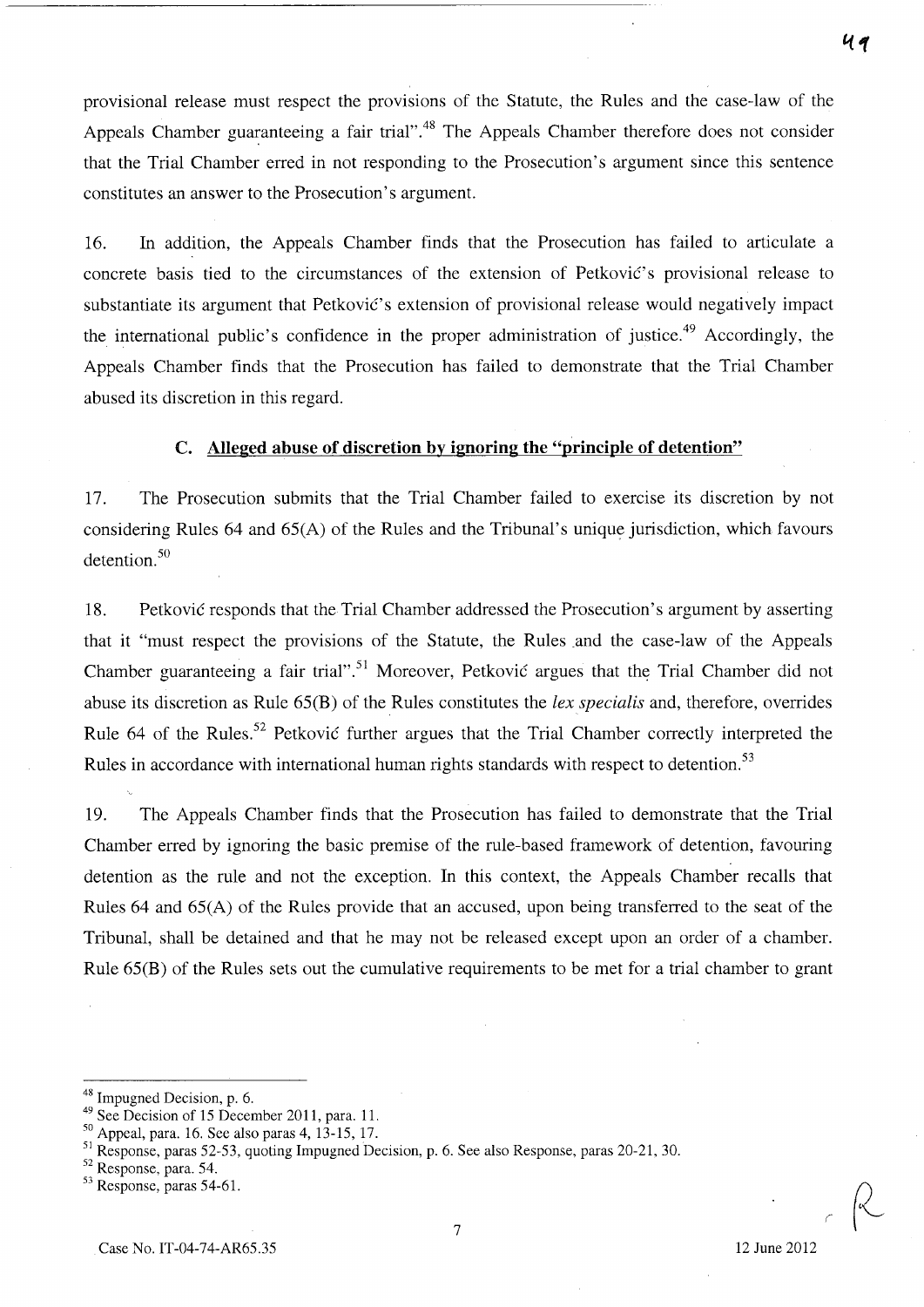provisional release must respect the provisions of the Statute, the Rules and the case-law of the Appeals Chamber guaranteeing a fair trial".<sup>48</sup> The Appeals Chamber therefore does not consider that the Trial Chamber erred in not responding to the Prosecution's argument since this sentence constitutes an answer to the Prosecution's argument.

16. In addition, the Appeals Chamber finds that the Prosecution has failed to articulate a concrete basis tied to the circumstances of the extension of Petković's provisional release to substantiate its argument that Petković's extension of provisional release would negatively impact the international public's confidence in the proper administration of justice.<sup>49</sup> Accordingly, the Appeals Chamber finds that the Prosecution has failed to demonstrate that the Trial Chamber abused its discretion in this regard.

## **c. Alleged abuse of discretion by ignoring the "principle of detention"**

17. The Prosecution submits that the Trial Chamber failed to exercise its discretion by not considering Rules 64 and 65(A) of the Rules and the Tribunal's unique jurisdiction, which favours detention.<sup>50</sup>

18. Petkovic responds that the Trial Chamber addressed the Prosecution's argument by asserting that it "must respect the provisions of the Statute, the Rules and the case-law of the Appeals Chamber guaranteeing a fair trial".<sup>51</sup> Moreover, Petković argues that the Trial Chamber did not abuse its discretion as Rule 65(B) of the Rules constitutes the *lex specialis* and, therefore, overrides Rule 64 of the Rules.<sup>52</sup> Petkovic further argues that the Trial Chamber correctly interpreted the Rules in accordance with international human rights standards with respect to detention.<sup>53</sup>

19. The Appeals Chamber finds that the Prosecution has failed to demonstrate that the Trial Chamber erred by ignoring the basic premise of the rule-based framework of detention, favouring detention as the rule and not the exception. In this context, the Appeals Chamber recalls that Rules 64 and 65(A) of the Rules provide that an accused, upon being transferred to the seat of the Tribunal, shall be detained and that he may not be released except upon an order of a chamber. Rule 65(B) of the Rules sets out the cumulative requirements to be met for a trial chamber to grant

7

49

<sup>48</sup> Impugned Decision, p. 6.

<sup>49</sup> See Decision of 15 December 2011, para. 11.

 $50$  Appeal, para. 16. See also paras 4, 13-15, 17.

<sup>&</sup>lt;sup>51</sup> Response, paras 52-53, quoting Impugned Decision, p. 6. See also Response, paras 20-21, 30.

<sup>52</sup> Response, para. 54.

<sup>53</sup> Response, paras 54-61.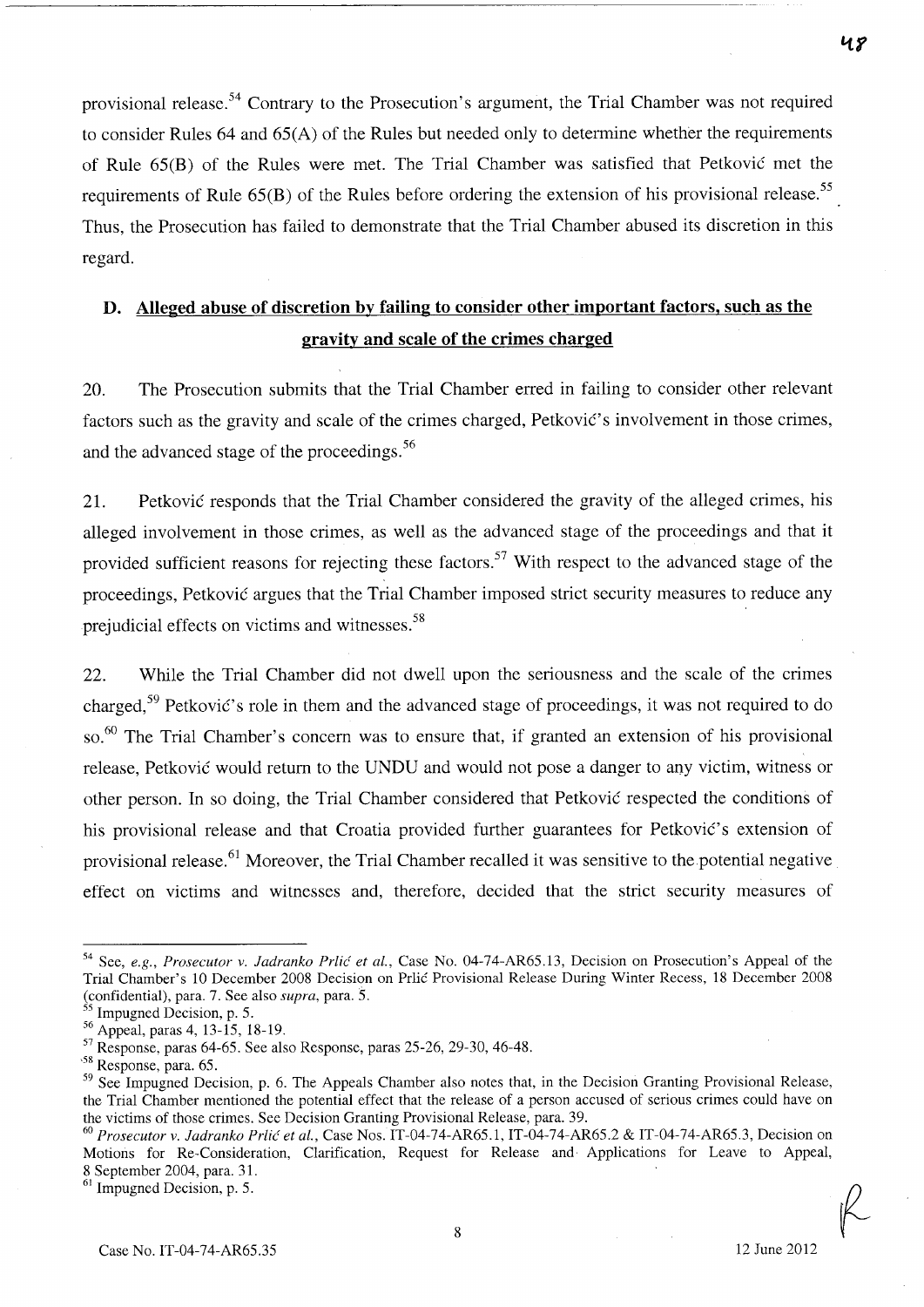provisional release.<sup>54</sup> Contrary to the Prosecution's argument, the Trial Chamber was not required to consider Rules 64 and 65(A) of the Rules but needed only to determine whether the requirements of Rule 65(B) of the Rules were met. The Trial Chamber was satisfied that Petkovic met the requirements of Rule  $65(B)$  of the Rules before ordering the extension of his provisional release.<sup>55</sup> Thus, the Prosecution has failed to demonstrate that the Trial Chamber abused its discretion in this regard.

# **D. Alleged abuse of discretion by failing to consider other important factors, such as the gravity and scale of the crimes charged**

20. The Prosecution submits that the Trial Chamber erred in failing to consider other relevant factors such as the gravity and scale of the crimes charged, Petković's involvement in those crimes, and the advanced stage of the proceedings.<sup>56</sup>

21. Petković responds that the Trial Chamber considered the gravity of the alleged crimes, his alleged involvement in those crimes, as well as the advanced stage of the proceedings and that it provided sufficient reasons for rejecting these factors.<sup>57</sup> With respect to the advanced stage of the proceedings, Petkovic argues that the Trial Chamber imposed strict security measures to reduce any prejudicial effects on victims and witnesses.<sup>58</sup>

22. While the Trial Chamber did not dwell upon the seriousness and the scale of the crimes charged,<sup>59</sup> Petković's role in them and the advanced stage of proceedings, it was not required to do so.<sup>60</sup> The Trial Chamber's concern was to ensure that, if granted an extension of his provisional release, Petkovic would return to the UNDU and would not pose a danger to any victim, witness or other person. **In** so doing, the Trial Chamber considered that Petkovic respected the conditions of his provisional release and that Croatia provided further guarantees for Petković's extension of provisional release.<sup>61</sup> Moreover, the Trial Chamber recalled it was sensitive to the potential negative effect on victims and witnesses and, therefore, decided that the strict security measures of

 $61$  Impugned Decision, p. 5.

<sup>&</sup>lt;sup>54</sup> See, *e.g., Prosecutor v. Jadranko Prlić et al.*, Case No. 04-74-AR65.13, Decision on Prosecution's Appeal of the Trial Chamber's 10 December 2008 Decision on Prlic Provisional Release During Winter Recess, 18 December 2008 (confidential), para. 7. See also *supra,* para. 5.

<sup>55</sup> Impugned Decision, p. 5.

<sup>56</sup> Appeal, paras 4,13-15,18-19.

 $57$  Response, paras 64-65. See also Response, paras 25-26, 29-30, 46-48.

<sup>,58</sup> Response, para. 65.

<sup>&</sup>lt;sup>59</sup> See Impugned Decision, p. 6. The Appeals Chamber also notes that, in the Decision Granting Provisional Release, the Trial Chamber mentioned the potential effect that the release of a person accused of serious crimes could have on the victims of those crimes. See Decision Granting Provisional Release, para. 39.

*<sup>60</sup> Prosecutor* v. *ladranko Prlic et al.,* Case Nos. IT-04-74-AR65.1, IT-04-74-AR65.2 & IT-04-74-AR65.3, Decision on Motions for Re-Consideration, Clarification, Request for Release and· Applications for Leave to Appeal, 8 September 2004, para. 31.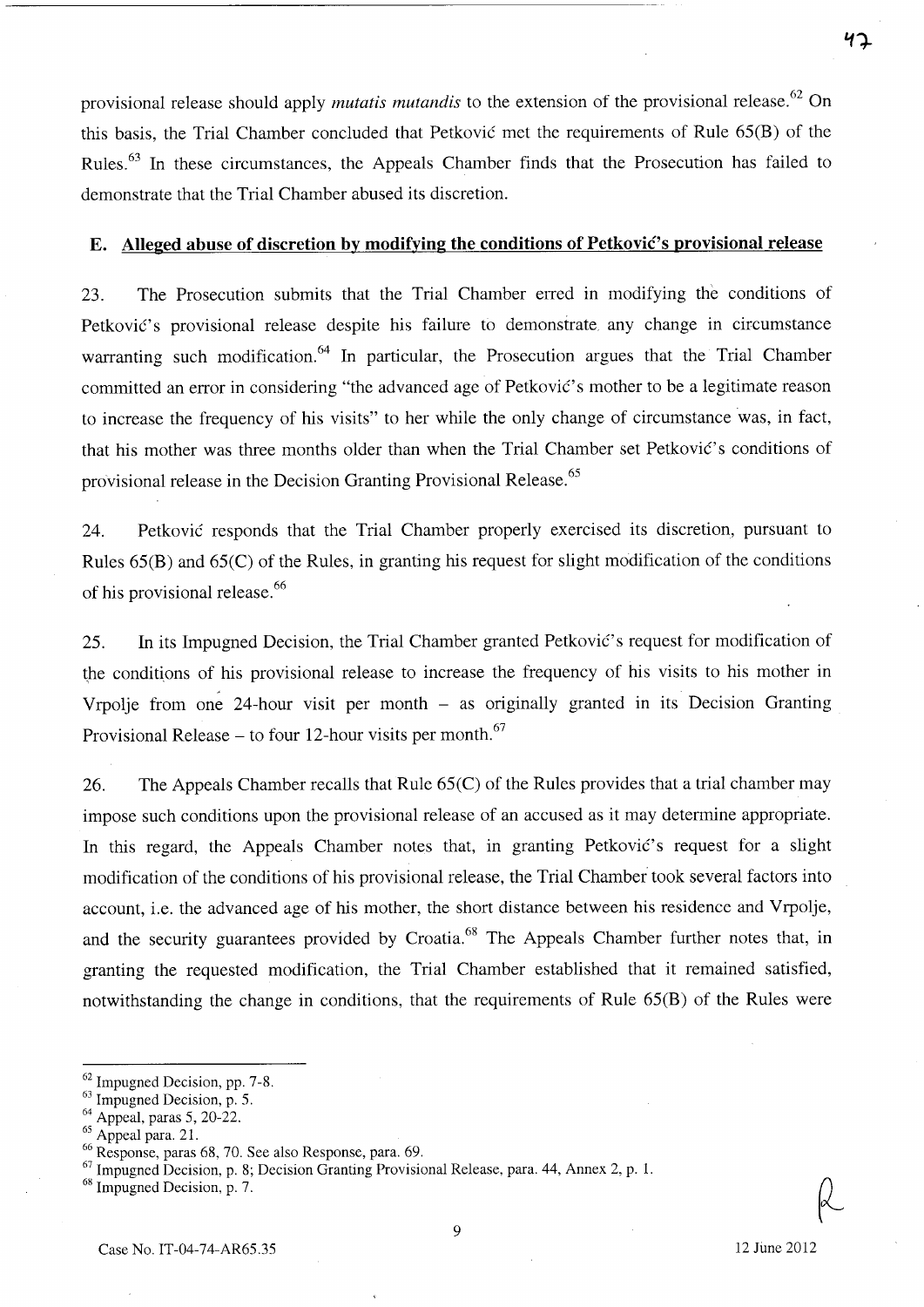provisional release should apply *mutatis mutandis* to the extension of the provisional release. 62 On this basis, the Trial Chamber concluded that Petkovic met the requirements of Rule 65(B) of the Rules. <sup>63</sup>**In** these circumstances, the Appeals Chamber finds that the Prosecution has failed to demonstrate that the Trial Chamber abused its discretion.

#### **E.** Alleged abuse of discretion by modifying the conditions of Petkovic's provisional release

23. The Prosecution submits that the Trial Chamber erred in modifying the conditions of Petković's provisional release despite his failure to demonstrate any change in circumstance warranting such modification.<sup>64</sup> In particular, the Prosecution argues that the Trial Chamber committed an error in considering "the advanced age of Petković's mother to be a legitimate reason to increase the frequency of his visits" to her while the only change of circumstance was, in fact, that his mother was three months older than when the Trial Chamber set Petković's conditions of provisional release in the Decision Granting Provisional Release. <sup>65</sup>

24. Petkovic responds that the Trial Chamber properly exercised its discretion, pursuant to Rules 65(B) and 65(C) of the Rules, in granting his request for slight modification of the conditions of his provisional release. <sup>66</sup>

25. In its Impugned Decision, the Trial Chamber granted Petković's request for modification of the conditions of his provisional release to increase the frequency of his visits to his mother in Vrpolje from one 24-hour visit per month - as originally granted in its Decision Granting Provisional Release  $-$  to four 12-hour visits per month.<sup>67</sup>

26. The Appeals Chamber recalls that Rule 65(C) of the Rules provides that a trial chamber may impose such conditions upon the provisional release of an accused as it may determine appropriate. In this regard, the Appeals Chamber notes that, in granting Petkovic's request for a slight modification of the conditions of his provisional release, the Trial Chamber took several factors into account, i.e. the advanced age of his mother, the short distance between his residence and Vrpolje, and the security guarantees provided by Croatia.<sup>68</sup> The Appeals Chamber further notes that, in granting the requested modification, the Trial Chamber established that it remained satisfied, notwithstanding the change in conditions, that the requirements of Rule 65(B) of the Rules were

りつ

<sup>62</sup> Impugned Decision, pp. 7-8.

<sup>&</sup>lt;sup>63</sup> Impugned Decision, p. 5.

<sup>64</sup> Appeal, paras 5, 20-22.

<sup>&</sup>lt;sup>65</sup> Appeal para. 21.

<sup>66</sup> Response, paras 68, 70. See also Response, para. 69.

 $67$  Impugned Decision, p. 8; Decision Granting Provisional Release, para. 44, Annex 2, p. 1.

<sup>68</sup> Impugned Decision, p. 7.